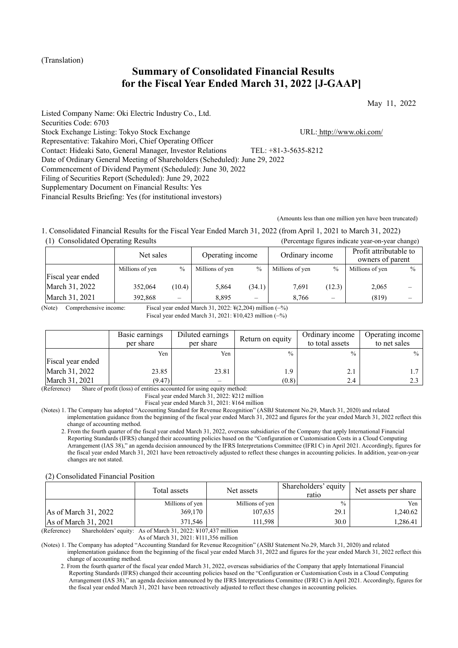## (Translation)

# **Summary of Consolidated Financial Results for the Fiscal Year Ended March 31, 2022 [J-GAAP]**

May 11, 2022

Listed Company Name: Oki Electric Industry Co., Ltd. Securities Code: 6703 Stock Exchange Listing: Tokyo Stock Exchange URL: http://www.oki.com/ Representative: Takahiro Mori, Chief Operating Officer Contact: Hideaki Sato, General Manager, Investor Relations TEL: +81-3-5635-8212 Date of Ordinary General Meeting of Shareholders (Scheduled): June 29, 2022 Commencement of Dividend Payment (Scheduled): June 30, 2022 Filing of Securities Report (Scheduled): June 29, 2022 Supplementary Document on Financial Results: Yes Financial Results Briefing: Yes (for institutional investors)

(Amounts less than one million yen have been truncated)

1. Consolidated Financial Results for the Fiscal Year Ended March 31, 2022 (from April 1, 2021 to March 31, 2022) (1) Consolidated Operating Results (Percentage figures indicate year-on-year change)

|                   | Net sales       |               | Operating income |                          | Ordinary income |               | Profit attributable to<br>owners of parent |               |
|-------------------|-----------------|---------------|------------------|--------------------------|-----------------|---------------|--------------------------------------------|---------------|
|                   | Millions of yen | $\frac{0}{0}$ | Millions of yen  | $\frac{0}{0}$            | Millions of yen | $\frac{0}{0}$ | Millions of yen                            | $\frac{0}{0}$ |
| Fiscal year ended |                 |               |                  |                          |                 |               |                                            |               |
| March 31, 2022    | 352,064         | (10.4)        | 5.864            | (34.1)                   | 7.691           | (12.3)        | 2,065                                      |               |
| March 31, 2021    | 392,868         | $\equiv$      | 8.895            | $\overline{\phantom{0}}$ | 8.766           | $-$           | (819)                                      |               |

(Note) Comprehensive income: Fiscal year ended March 31, 2022: ¥(2,204) million (–%)

Fiscal year ended March 31, 2021: ¥10,423 million (–%)

|                   | Basic earnings<br>per share | Diluted earnings<br>per share | Return on equity | Ordinary income<br>to total assets | Operating income<br>to net sales |
|-------------------|-----------------------------|-------------------------------|------------------|------------------------------------|----------------------------------|
|                   | Yen                         | Yen                           | $\frac{0}{0}$    | $\frac{0}{0}$                      | $%$                              |
| Fiscal year ended |                             |                               |                  |                                    |                                  |
| March 31, 2022    | 23.85                       | 23.81                         | 1.9              | 2.1                                |                                  |
| March 31, 2021    | (9.47)                      |                               | (0.8)            | 2.4                                |                                  |

(Reference) Share of profit (loss) of entities accounted for using equity method:

Fiscal year ended March 31, 2022: ¥212 million

Fiscal year ended March 31, 2021: ¥164 million

(Notes) 1. The Company has adopted "Accounting Standard for Revenue Recognition" (ASBJ Statement No.29, March 31, 2020) and related implementation guidance from the beginning of the fiscal year ended March 31, 2022 and figures for the year ended March 31, 2022 reflect this change of accounting method.

2. From the fourth quarter of the fiscal year ended March 31, 2022, overseas subsidiaries of the Company that apply International Financial Reporting Standards (IFRS) changed their accounting policies based on the "Configuration or Customisation Costs in a Cloud Computing Arrangement (IAS 38)," an agenda decision announced by the IFRS Interpretations Committee (IFRI C) in April 2021. Accordingly, figures for the fiscal year ended March 31, 2021 have been retroactively adjusted to reflect these changes in accounting policies. In addition, year-on-year changes are not stated.

#### (2) Consolidated Financial Position

|                                        | Total assets                                                                                                                                                                                  | Net assets      | Shareholders' equity<br>ratio | Net assets per share |
|----------------------------------------|-----------------------------------------------------------------------------------------------------------------------------------------------------------------------------------------------|-----------------|-------------------------------|----------------------|
|                                        | Millions of yen                                                                                                                                                                               | Millions of yen | $\frac{0}{0}$                 | Yen                  |
| As of March $31, 2022$                 | 369,170                                                                                                                                                                                       | 107,635         | 29.1                          | 1.240.62             |
| As of March 31, 2021                   | 371,546                                                                                                                                                                                       | 111.598         | 30.0                          | .286.41              |
| (D <sub>eff</sub> )(D <sub>eff</sub> ) | $\mathcal{L}_{\text{bound}}$ and $\mathcal{L}_{\text{max}}$ and $\mathcal{L}_{\text{max}}$ and $\mathcal{L}_{\text{total}}$ and $\mathcal{L}_{\text{total}}$ and $\mathcal{L}_{\text{total}}$ |                 |                               |                      |

(Reference) Shareholders' equity: As of March 31 As of March 31, 2021: ¥111,356 million

(Notes) 1. The Company has adopted "Accounting Standard for Revenue Recognition" (ASBJ Statement No.29, March 31, 2020) and related

implementation guidance from the beginning of the fiscal year ended March 31, 2022 and figures for the year ended March 31, 2022 reflect this change of accounting method.

2. From the fourth quarter of the fiscal year ended March 31, 2022, overseas subsidiaries of the Company that apply International Financial Reporting Standards (IFRS) changed their accounting policies based on the "Configuration or Customisation Costs in a Cloud Computing Arrangement (IAS 38)," an agenda decision announced by the IFRS Interpretations Committee (IFRI C) in April 2021. Accordingly, figures for the fiscal year ended March 31, 2021 have been retroactively adjusted to reflect these changes in accounting policies.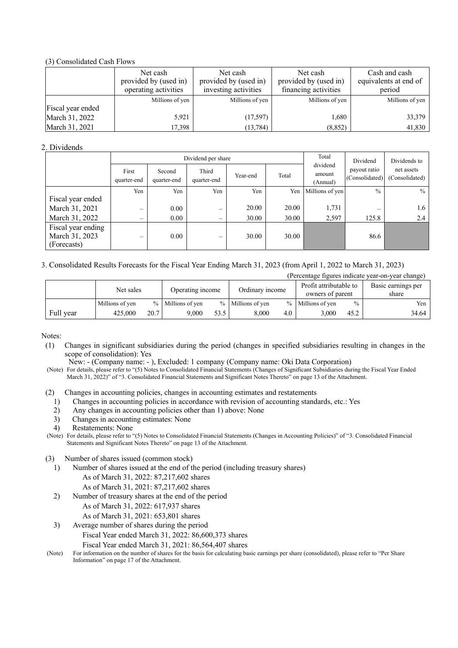## (3) Consolidated Cash Flows

|                   | Net cash<br>provided by (used in)<br>operating activities | Net cash<br>provided by (used in)<br>investing activities | Net cash<br>provided by (used in)<br>financing activities | Cash and cash<br>equivalents at end of<br>period |
|-------------------|-----------------------------------------------------------|-----------------------------------------------------------|-----------------------------------------------------------|--------------------------------------------------|
|                   | Millions of yen                                           | Millions of yen                                           | Millions of yen                                           | Millions of yen                                  |
| Fiscal year ended |                                                           |                                                           |                                                           |                                                  |
| March 31, 2022    | 5,921                                                     | (17,597)                                                  | 1,680                                                     | 33,379                                           |
| March 31, 2021    | 17,398                                                    | (13, 784)                                                 | (8, 852)                                                  | 41,830                                           |

## 2. Dividends

|                                                     |                          |                       | Dividend per share             | Total    | Dividend | Dividends to                   |                                |                              |
|-----------------------------------------------------|--------------------------|-----------------------|--------------------------------|----------|----------|--------------------------------|--------------------------------|------------------------------|
|                                                     | First<br>quarter-end     | Second<br>quarter-end | Third<br>quarter-end           | Year-end | Total    | dividend<br>amount<br>(Annual) | payout ratio<br>(Consolidated) | net assets<br>(Consolidated) |
|                                                     | Yen                      | Yen                   | Yen                            | Yen      | Yen      | Millions of yen                | $\frac{0}{0}$                  | $\frac{0}{0}$                |
| Fiscal year ended                                   |                          |                       |                                |          |          |                                |                                |                              |
| March 31, 2021                                      | $\overline{\phantom{0}}$ | 0.00                  | $\qquad \qquad \longleftarrow$ | 20.00    | 20.00    | 1,731                          | -                              | 1.6                          |
| March 31, 2022                                      | –                        | 0.00                  | $\qquad \qquad \longleftarrow$ | 30.00    | 30.00    | 2,597                          | 125.8                          | 2.4                          |
| Fiscal year ending<br>March 31, 2023<br>(Forecasts) | –                        | 0.00                  | -                              | 30.00    | 30.00    |                                | 86.6                           |                              |

## 3. Consolidated Results Forecasts for the Fiscal Year Ending March 31, 2023 (from April 1, 2022 to March 31, 2023)

|           | (Percentage figures indicate year-on-year change) |      |                   |      |                   |     |                                            |               |                             |  |  |
|-----------|---------------------------------------------------|------|-------------------|------|-------------------|-----|--------------------------------------------|---------------|-----------------------------|--|--|
|           | Net sales                                         |      | Operating income  |      | Ordinary income   |     | Profit attributable to<br>owners of parent |               | Basic earnings per<br>share |  |  |
|           | Millions of yen                                   |      | % Millions of yen |      | % Millions of yen |     | % Millions of yen                          | $\frac{0}{0}$ | Yen                         |  |  |
| Full year | 425,000                                           | 20.7 | 9.000             | 53.5 | 8.000             | 4.0 | 3.000                                      | 45.2          | 34.64                       |  |  |

Notes:

(1) Changes in significant subsidiaries during the period (changes in specified subsidiaries resulting in changes in the scope of consolidation): Yes

New: - (Company name: - ), Excluded: 1 company (Company name: Oki Data Corporation)

(Note) For details, please refer to "(5) Notes to Consolidated Financial Statements (Changes of Significant Subsidiaries during the Fiscal Year Ended March 31, 2022)" of "3. Consolidated Financial Statements and Significant Notes Thereto" on page 13 of the Attachment.

- (2) Changes in accounting policies, changes in accounting estimates and restatements
	- 1) Changes in accounting policies in accordance with revision of accounting standards, etc.: Yes
	- 2) Any changes in accounting policies other than 1) above: None
	- 3) Changes in accounting estimates: None
	- 4) Restatements: None

(Note) For details, please refer to "(5) Notes to Consolidated Financial Statements (Changes in Accounting Policies)" of "3. Consolidated Financial Statements and Significant Notes Thereto" on page 13 of the Attachment.

(3) Number of shares issued (common stock)

- 1) Number of shares issued at the end of the period (including treasury shares) As of March 31, 2022: 87,217,602 shares As of March 31, 2021: 87,217,602 shares
- 2) Number of treasury shares at the end of the period As of March 31, 2022: 617,937 shares As of March 31, 2021: 653,801 shares
- 3) Average number of shares during the period Fiscal Year ended March 31, 2022: 86,600,373 shares Fiscal Year ended March 31, 2021: 86,564,407 shares

(Note) For information on the number of shares for the basis for calculating basic earnings per share (consolidated), please refer to "Per Share Information" on page 17 of the Attachment.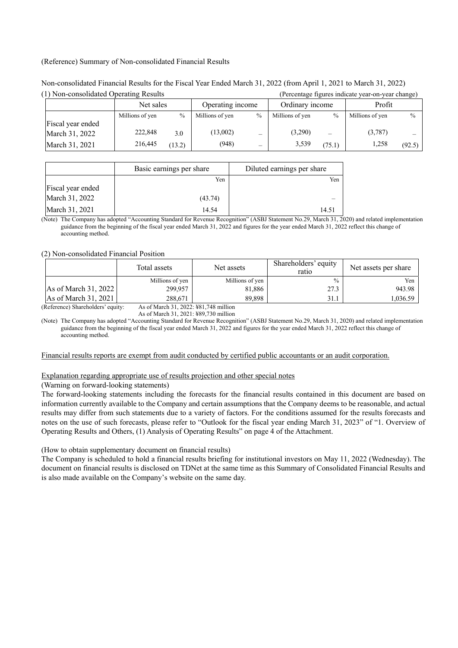#### (Reference) Summary of Non-consolidated Financial Results

| (1) Non-consolidated Operating Results |                 |               |                  | (Percentage figures indicate year-on-year change) |                 |               |                 |               |
|----------------------------------------|-----------------|---------------|------------------|---------------------------------------------------|-----------------|---------------|-----------------|---------------|
|                                        | Net sales       |               | Operating income |                                                   | Ordinary income |               | Profit          |               |
|                                        | Millions of yen | $\frac{0}{0}$ | Millions of yen  | $\frac{0}{0}$                                     | Millions of yen | $\frac{0}{0}$ | Millions of yen | $\frac{0}{0}$ |
| Fiscal year ended                      |                 |               |                  |                                                   |                 |               |                 |               |
| March 31, 2022                         | 222,848         | 3.0           | (13,002)         |                                                   | (3,290)         |               | (3,787)         |               |
| March 31, 2021                         | 216,445         | (13.2)        | (948)            |                                                   | 3,539           | 75.1          | 1.258           | (92.5)        |

Non-consolidated Financial Results for the Fiscal Year Ended March 31, 2022 (from April 1, 2021 to March 31, 2022)

|                   | Basic earnings per share | Diluted earnings per share |
|-------------------|--------------------------|----------------------------|
|                   | Yen                      | Yen                        |
| Fiscal year ended |                          |                            |
| March 31, 2022    | (43.74)                  |                            |
| March 31, 2021    | 14.54                    | 14.51                      |

(Note) The Company has adopted "Accounting Standard for Revenue Recognition" (ASBJ Statement No.29, March 31, 2020) and related implementation guidance from the beginning of the fiscal year ended March 31, 2022 and figures for the year ended March 31, 2022 reflect this change of accounting method.

(2) Non-consolidated Financial Position

|                        | Total assets    | Net assets      | Shareholders' equity<br>ratio | Net assets per share |
|------------------------|-----------------|-----------------|-------------------------------|----------------------|
|                        | Millions of yen | Millions of yen | $\%$                          | Yen                  |
| As of March 31, 2022   | 299,957         | 81,886          | 27.3                          | 943.98               |
| As of March $31, 2021$ | 288.671         | 89,898          | 31.1                          | .036.59              |

(Reference) Shareholders' equity: As of March 31, 2022: ¥81,748 million

As of March 31, 2021: ¥89,730 million

(Note) The Company has adopted "Accounting Standard for Revenue Recognition" (ASBJ Statement No.29, March 31, 2020) and related implementation guidance from the beginning of the fiscal year ended March 31, 2022 and figures for the year ended March 31, 2022 reflect this change of accounting method.

#### Financial results reports are exempt from audit conducted by certified public accountants or an audit corporation.

## Explanation regarding appropriate use of results projection and other special notes

(Warning on forward-looking statements)

The forward-looking statements including the forecasts for the financial results contained in this document are based on information currently available to the Company and certain assumptions that the Company deems to be reasonable, and actual results may differ from such statements due to a variety of factors. For the conditions assumed for the results forecasts and notes on the use of such forecasts, please refer to "Outlook for the fiscal year ending March 31, 2023" of "1. Overview of Operating Results and Others, (1) Analysis of Operating Results" on page 4 of the Attachment.

(How to obtain supplementary document on financial results)

The Company is scheduled to hold a financial results briefing for institutional investors on May 11, 2022 (Wednesday). The document on financial results is disclosed on TDNet at the same time as this Summary of Consolidated Financial Results and is also made available on the Company's website on the same day.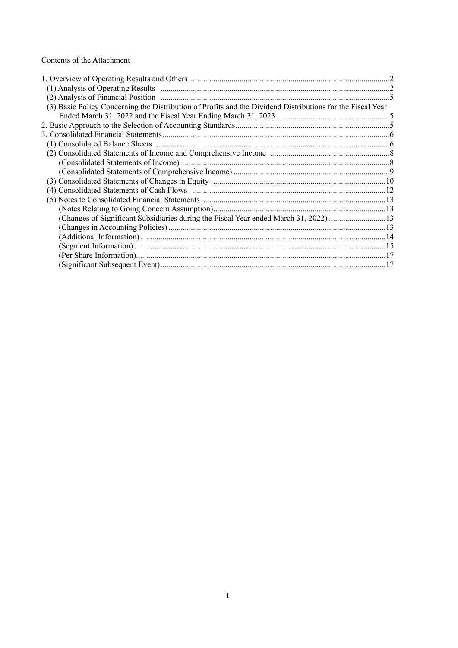## Contents of the Attachment

| (3) Basic Policy Concerning the Distribution of Profits and the Dividend Distributions for the Fiscal Year |  |
|------------------------------------------------------------------------------------------------------------|--|
|                                                                                                            |  |
|                                                                                                            |  |
|                                                                                                            |  |
|                                                                                                            |  |
|                                                                                                            |  |
|                                                                                                            |  |
|                                                                                                            |  |
|                                                                                                            |  |
|                                                                                                            |  |
|                                                                                                            |  |
|                                                                                                            |  |
| (Changes of Significant Subsidiaries during the Fiscal Year ended March 31, 2022) 13                       |  |
|                                                                                                            |  |
|                                                                                                            |  |
|                                                                                                            |  |
|                                                                                                            |  |
|                                                                                                            |  |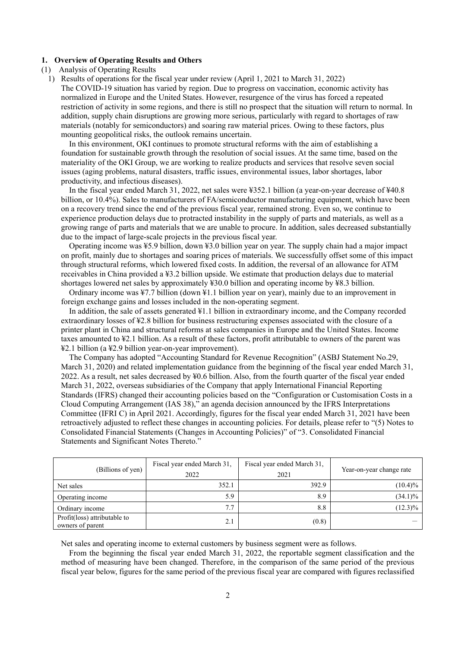#### **1. Overview of Operating Results and Others**

- (1) Analysis of Operating Results
	- 1) Results of operations for the fiscal year under review (April 1, 2021 to March 31, 2022) The COVID-19 situation has varied by region. Due to progress on vaccination, economic activity has normalized in Europe and the United States. However, resurgence of the virus has forced a repeated restriction of activity in some regions, and there is still no prospect that the situation will return to normal. In addition, supply chain disruptions are growing more serious, particularly with regard to shortages of raw materials (notably for semiconductors) and soaring raw material prices. Owing to these factors, plus mounting geopolitical risks, the outlook remains uncertain.

In this environment, OKI continues to promote structural reforms with the aim of establishing a foundation for sustainable growth through the resolution of social issues. At the same time, based on the materiality of the OKI Group, we are working to realize products and services that resolve seven social issues (aging problems, natural disasters, traffic issues, environmental issues, labor shortages, labor productivity, and infectious diseases).

In the fiscal year ended March 31, 2022, net sales were ¥352.1 billion (a year-on-year decrease of ¥40.8 billion, or 10.4%). Sales to manufacturers of FA/semiconductor manufacturing equipment, which have been on a recovery trend since the end of the previous fiscal year, remained strong. Even so, we continue to experience production delays due to protracted instability in the supply of parts and materials, as well as a growing range of parts and materials that we are unable to procure. In addition, sales decreased substantially due to the impact of large-scale projects in the previous fiscal year.

Operating income was ¥5.9 billion, down ¥3.0 billion year on year. The supply chain had a major impact on profit, mainly due to shortages and soaring prices of materials. We successfully offset some of this impact through structural reforms, which lowered fixed costs. In addition, the reversal of an allowance for ATM receivables in China provided a ¥3.2 billion upside. We estimate that production delays due to material shortages lowered net sales by approximately ¥30.0 billion and operating income by ¥8.3 billion.

Ordinary income was ¥7.7 billion (down ¥1.1 billion year on year), mainly due to an improvement in foreign exchange gains and losses included in the non-operating segment.

In addition, the sale of assets generated ¥1.1 billion in extraordinary income, and the Company recorded extraordinary losses of ¥2.8 billion for business restructuring expenses associated with the closure of a printer plant in China and structural reforms at sales companies in Europe and the United States. Income taxes amounted to ¥2.1 billion. As a result of these factors, profit attributable to owners of the parent was ¥2.1 billion (a ¥2.9 billion year-on-year improvement).

The Company has adopted "Accounting Standard for Revenue Recognition" (ASBJ Statement No.29, March 31, 2020) and related implementation guidance from the beginning of the fiscal year ended March 31, 2022. As a result, net sales decreased by ¥0.6 billion. Also, from the fourth quarter of the fiscal year ended March 31, 2022, overseas subsidiaries of the Company that apply International Financial Reporting Standards (IFRS) changed their accounting policies based on the "Configuration or Customisation Costs in a Cloud Computing Arrangement (IAS 38)," an agenda decision announced by the IFRS Interpretations Committee (IFRI C) in April 2021. Accordingly, figures for the fiscal year ended March 31, 2021 have been retroactively adjusted to reflect these changes in accounting policies. For details, please refer to "(5) Notes to Consolidated Financial Statements (Changes in Accounting Policies)" of "3. Consolidated Financial Statements and Significant Notes Thereto."

| (Billions of yen)                                | Fiscal year ended March 31,<br>2022 | Fiscal year ended March 31,<br>2021 | Year-on-year change rate |
|--------------------------------------------------|-------------------------------------|-------------------------------------|--------------------------|
| Net sales                                        | 352.1                               | 392.9                               | $(10.4)\%$               |
| Operating income                                 | 5.9                                 | 8.9                                 | $(34.1)\%$               |
| Ordinary income                                  | 7.7                                 | 8.8                                 | $(12.3)\%$               |
| Profit(loss) attributable to<br>owners of parent | 2.1                                 | (0.8)                               |                          |

Net sales and operating income to external customers by business segment were as follows.

From the beginning the fiscal year ended March 31, 2022, the reportable segment classification and the method of measuring have been changed. Therefore, in the comparison of the same period of the previous fiscal year below, figures for the same period of the previous fiscal year are compared with figures reclassified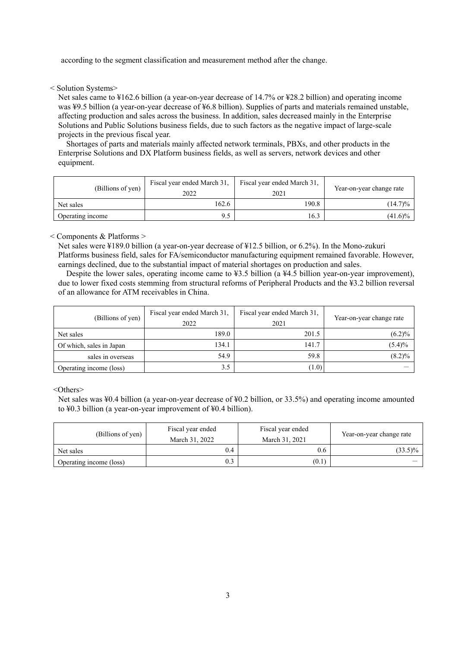according to the segment classification and measurement method after the change.

< Solution Systems>

Net sales came to ¥162.6 billion (a year-on-year decrease of 14.7% or ¥28.2 billion) and operating income was ¥9.5 billion (a year-on-year decrease of ¥6.8 billion). Supplies of parts and materials remained unstable, affecting production and sales across the business. In addition, sales decreased mainly in the Enterprise Solutions and Public Solutions business fields, due to such factors as the negative impact of large-scale projects in the previous fiscal year.

Shortages of parts and materials mainly affected network terminals, PBXs, and other products in the Enterprise Solutions and DX Platform business fields, as well as servers, network devices and other equipment.

| (Billions of yen) | Fiscal year ended March 31,<br>2022 | Fiscal year ended March 31,<br>2021 | Year-on-year change rate |
|-------------------|-------------------------------------|-------------------------------------|--------------------------|
| Net sales         | 162.6                               | 190.8                               | $(14.7)\%$               |
| Operating income  | 9.5                                 | 16.3                                | $(41.6)\%$               |

< Components & Platforms >

Net sales were ¥189.0 billion (a year-on-year decrease of ¥12.5 billion, or 6.2%). In the Mono-zukuri Platforms business field, sales for FA/semiconductor manufacturing equipment remained favorable. However, earnings declined, due to the substantial impact of material shortages on production and sales.

Despite the lower sales, operating income came to ¥3.5 billion (a ¥4.5 billion year-on-year improvement), due to lower fixed costs stemming from structural reforms of Peripheral Products and the ¥3.2 billion reversal of an allowance for ATM receivables in China.

| (Billions of yen)        | Fiscal year ended March 31,<br>2022 | Fiscal year ended March 31,<br>2021 | Year-on-year change rate |
|--------------------------|-------------------------------------|-------------------------------------|--------------------------|
| Net sales                | 189.0                               | 201.5                               | $(6.2)\%$                |
| Of which, sales in Japan | 134.1                               | 141.7                               | $(5.4)\%$                |
| sales in overseas        | 54.9                                | 59.8                                | $(8.2)\%$                |
| Operating income (loss)  | 3.5                                 | (1.0)                               |                          |

<Others>

Net sales was ¥0.4 billion (a year-on-year decrease of ¥0.2 billion, or 33.5%) and operating income amounted to ¥0.3 billion (a year-on-year improvement of ¥0.4 billion).

| (Billions of yen)       | Fiscal year ended<br>March 31, 2022 | Fiscal year ended<br>March 31, 2021 | Year-on-year change rate |
|-------------------------|-------------------------------------|-------------------------------------|--------------------------|
| Net sales               | 0.4                                 | 0.6                                 | $(33.5)\%$               |
| Operating income (loss) | 0.3                                 | (0.1)                               |                          |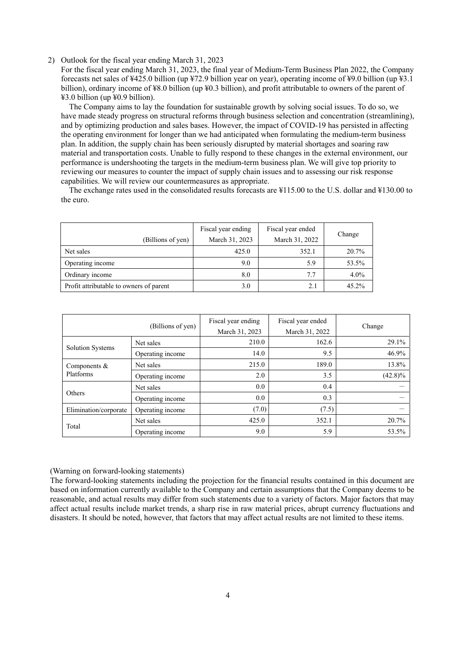#### 2) Outlook for the fiscal year ending March 31, 2023

For the fiscal year ending March 31, 2023, the final year of Medium-Term Business Plan 2022, the Company forecasts net sales of ¥425.0 billion (up ¥72.9 billion year on year), operating income of ¥9.0 billion (up ¥3.1 billion), ordinary income of ¥8.0 billion (up ¥0.3 billion), and profit attributable to owners of the parent of ¥3.0 billion (up ¥0.9 billion).

The Company aims to lay the foundation for sustainable growth by solving social issues. To do so, we have made steady progress on structural reforms through business selection and concentration (streamlining), and by optimizing production and sales bases. However, the impact of COVID-19 has persisted in affecting the operating environment for longer than we had anticipated when formulating the medium-term business plan. In addition, the supply chain has been seriously disrupted by material shortages and soaring raw material and transportation costs. Unable to fully respond to these changes in the external environment, our performance is undershooting the targets in the medium-term business plan. We will give top priority to reviewing our measures to counter the impact of supply chain issues and to assessing our risk response capabilities. We will review our countermeasures as appropriate.

The exchange rates used in the consolidated results forecasts are ¥115.00 to the U.S. dollar and ¥130.00 to the euro.

|                                         | Fiscal year ending | Fiscal year ended |         |
|-----------------------------------------|--------------------|-------------------|---------|
| (Billions of yen)                       | March 31, 2023     | March 31, 2022    | Change  |
| Net sales                               | 425.0              | 352.1             | 20.7%   |
| Operating income                        | 9.0                | 5.9               | 53.5%   |
| Ordinary income                         | 8.0                | 7.7               | $4.0\%$ |
| Profit attributable to owners of parent | 3.0                | 2.1               | 45.2%   |

| (Billions of yen)       |                  | Fiscal year ending | Fiscal year ended |            |  |
|-------------------------|------------------|--------------------|-------------------|------------|--|
|                         |                  | March 31, 2023     | March 31, 2022    | Change     |  |
|                         | Net sales        | 210.0              | 162.6             | 29.1%      |  |
| <b>Solution Systems</b> | Operating income | 14.0               | 9.5               | 46.9%      |  |
| Components $&$          | Net sales        | 215.0              | 189.0             | 13.8%      |  |
| Platforms               | Operating income | 2.0                | 3.5               | $(42.8)\%$ |  |
| Others                  | Net sales        | 0.0                | 0.4               |            |  |
|                         | Operating income | 0.0                | 0.3               |            |  |
| Elimination/corporate   | Operating income | (7.0)              | (7.5)             |            |  |
|                         | Net sales        | 425.0              | 352.1             | 20.7%      |  |
| Total                   | Operating income | 9.0                | 5.9               | 53.5%      |  |

### (Warning on forward-looking statements)

The forward-looking statements including the projection for the financial results contained in this document are based on information currently available to the Company and certain assumptions that the Company deems to be reasonable, and actual results may differ from such statements due to a variety of factors. Major factors that may affect actual results include market trends, a sharp rise in raw material prices, abrupt currency fluctuations and disasters. It should be noted, however, that factors that may affect actual results are not limited to these items.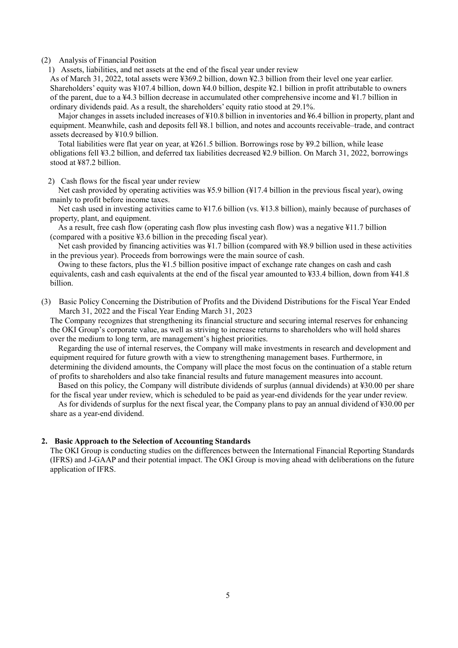#### (2) Analysis of Financial Position

1) Assets, liabilities, and net assets at the end of the fiscal year under review

As of March 31, 2022, total assets were ¥369.2 billion, down ¥2.3 billion from their level one year earlier. Shareholders' equity was ¥107.4 billion, down ¥4.0 billion, despite ¥2.1 billion in profit attributable to owners of the parent, due to a ¥4.3 billion decrease in accumulated other comprehensive income and ¥1.7 billion in ordinary dividends paid. As a result, the shareholders' equity ratio stood at 29.1%.

Major changes in assets included increases of ¥10.8 billion in inventories and ¥6.4 billion in property, plant and equipment. Meanwhile, cash and deposits fell ¥8.1 billion, and notes and accounts receivable–trade, and contract assets decreased by ¥10.9 billion.

Total liabilities were flat year on year, at ¥261.5 billion. Borrowings rose by ¥9.2 billion, while lease obligations fell ¥3.2 billion, and deferred tax liabilities decreased ¥2.9 billion. On March 31, 2022, borrowings stood at ¥87.2 billion.

2) Cash flows for the fiscal year under review

Net cash provided by operating activities was ¥5.9 billion (¥17.4 billion in the previous fiscal year), owing mainly to profit before income taxes.

Net cash used in investing activities came to ¥17.6 billion (vs. ¥13.8 billion), mainly because of purchases of property, plant, and equipment.

As a result, free cash flow (operating cash flow plus investing cash flow) was a negative ¥11.7 billion (compared with a positive ¥3.6 billion in the preceding fiscal year).

Net cash provided by financing activities was ¥1.7 billion (compared with ¥8.9 billion used in these activities in the previous year). Proceeds from borrowings were the main source of cash.

Owing to these factors, plus the ¥1.5 billion positive impact of exchange rate changes on cash and cash equivalents, cash and cash equivalents at the end of the fiscal year amounted to ¥33.4 billion, down from ¥41.8 billion.

(3) Basic Policy Concerning the Distribution of Profits and the Dividend Distributions for the Fiscal Year Ended March 31, 2022 and the Fiscal Year Ending March 31, 2023

The Company recognizes that strengthening its financial structure and securing internal reserves for enhancing the OKI Group's corporate value, as well as striving to increase returns to shareholders who will hold shares over the medium to long term, are management's highest priorities.

Regarding the use of internal reserves, the Company will make investments in research and development and equipment required for future growth with a view to strengthening management bases. Furthermore, in determining the dividend amounts, the Company will place the most focus on the continuation of a stable return of profits to shareholders and also take financial results and future management measures into account.

Based on this policy, the Company will distribute dividends of surplus (annual dividends) at ¥30.00 per share for the fiscal year under review, which is scheduled to be paid as year-end dividends for the year under review.

As for dividends of surplus for the next fiscal year, the Company plans to pay an annual dividend of ¥30.00 per share as a year-end dividend.

## **2. Basic Approach to the Selection of Accounting Standards**

The OKI Group is conducting studies on the differences between the International Financial Reporting Standards (IFRS) and J-GAAP and their potential impact. The OKI Group is moving ahead with deliberations on the future application of IFRS.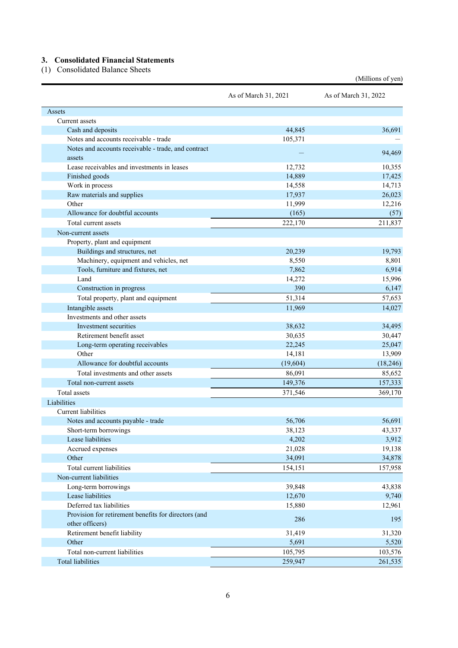## **3. Consolidated Financial Statements**

(1) Consolidated Balance Sheets

| Assets<br>Current assets<br>44,845<br>36,691<br>Cash and deposits<br>Notes and accounts receivable - trade<br>105,371<br>Notes and accounts receivable - trade, and contract<br>94,469<br>assets<br>Lease receivables and investments in leases<br>12,732<br>10,355<br>Finished goods<br>14,889<br>17,425<br>Work in process<br>14,713<br>14,558<br>Raw materials and supplies<br>17,937<br>26,023<br>11,999<br>12,216<br>Other<br>Allowance for doubtful accounts<br>(165)<br>(57)<br>Total current assets<br>222,170<br>211,837<br>Non-current assets<br>Property, plant and equipment<br>Buildings and structures, net<br>20,239<br>19,793<br>Machinery, equipment and vehicles, net<br>8,801<br>8,550<br>Tools, furniture and fixtures, net<br>6,914<br>7,862<br>Land<br>15,996<br>14,272<br>390<br>6,147<br>Construction in progress<br>Total property, plant and equipment<br>51,314<br>57,653<br>Intangible assets<br>11,969<br>14,027<br>Investments and other assets<br>38,632<br>34,495<br>Investment securities<br>Retirement benefit asset<br>30,635<br>30,447<br>25,047<br>Long-term operating receivables<br>22,245<br>Other<br>13,909<br>14,181<br>Allowance for doubtful accounts<br>(18, 246)<br>(19,604)<br>Total investments and other assets<br>86,091<br>85,652<br>149,376<br>157,333<br>Total non-current assets<br>Total assets<br>371,546<br>369,170<br>Liabilities<br>Current liabilities<br>Notes and accounts payable - trade<br>56,706<br>56,691<br>38,123<br>43,337<br>Short-term borrowings<br>4,202<br>3,912<br>Lease liabilities<br>21,028<br>19,138<br>Accrued expenses<br>34,878<br>Other<br>34,091<br>Total current liabilities<br>157,958<br>154,151<br>Non-current liabilities<br>43,838<br>Long-term borrowings<br>39,848<br>Lease liabilities<br>12,670<br>9,740<br>Deferred tax liabilities<br>12,961<br>15,880<br>Provision for retirement benefits for directors (and<br>286<br>195<br>other officers)<br>Retirement benefit liability<br>31,419<br>31,320<br>Other<br>5,691<br>5,520<br>Total non-current liabilities<br>105,795<br>103,576 |                          | As of March 31, 2021 | As of March 31, 2022 |
|----------------------------------------------------------------------------------------------------------------------------------------------------------------------------------------------------------------------------------------------------------------------------------------------------------------------------------------------------------------------------------------------------------------------------------------------------------------------------------------------------------------------------------------------------------------------------------------------------------------------------------------------------------------------------------------------------------------------------------------------------------------------------------------------------------------------------------------------------------------------------------------------------------------------------------------------------------------------------------------------------------------------------------------------------------------------------------------------------------------------------------------------------------------------------------------------------------------------------------------------------------------------------------------------------------------------------------------------------------------------------------------------------------------------------------------------------------------------------------------------------------------------------------------------------------------------------------------------------------------------------------------------------------------------------------------------------------------------------------------------------------------------------------------------------------------------------------------------------------------------------------------------------------------------------------------------------------------------------------------------------------------------------------------------------------------------------------------|--------------------------|----------------------|----------------------|
|                                                                                                                                                                                                                                                                                                                                                                                                                                                                                                                                                                                                                                                                                                                                                                                                                                                                                                                                                                                                                                                                                                                                                                                                                                                                                                                                                                                                                                                                                                                                                                                                                                                                                                                                                                                                                                                                                                                                                                                                                                                                                        |                          |                      |                      |
|                                                                                                                                                                                                                                                                                                                                                                                                                                                                                                                                                                                                                                                                                                                                                                                                                                                                                                                                                                                                                                                                                                                                                                                                                                                                                                                                                                                                                                                                                                                                                                                                                                                                                                                                                                                                                                                                                                                                                                                                                                                                                        |                          |                      |                      |
|                                                                                                                                                                                                                                                                                                                                                                                                                                                                                                                                                                                                                                                                                                                                                                                                                                                                                                                                                                                                                                                                                                                                                                                                                                                                                                                                                                                                                                                                                                                                                                                                                                                                                                                                                                                                                                                                                                                                                                                                                                                                                        |                          |                      |                      |
|                                                                                                                                                                                                                                                                                                                                                                                                                                                                                                                                                                                                                                                                                                                                                                                                                                                                                                                                                                                                                                                                                                                                                                                                                                                                                                                                                                                                                                                                                                                                                                                                                                                                                                                                                                                                                                                                                                                                                                                                                                                                                        |                          |                      |                      |
|                                                                                                                                                                                                                                                                                                                                                                                                                                                                                                                                                                                                                                                                                                                                                                                                                                                                                                                                                                                                                                                                                                                                                                                                                                                                                                                                                                                                                                                                                                                                                                                                                                                                                                                                                                                                                                                                                                                                                                                                                                                                                        |                          |                      |                      |
|                                                                                                                                                                                                                                                                                                                                                                                                                                                                                                                                                                                                                                                                                                                                                                                                                                                                                                                                                                                                                                                                                                                                                                                                                                                                                                                                                                                                                                                                                                                                                                                                                                                                                                                                                                                                                                                                                                                                                                                                                                                                                        |                          |                      |                      |
|                                                                                                                                                                                                                                                                                                                                                                                                                                                                                                                                                                                                                                                                                                                                                                                                                                                                                                                                                                                                                                                                                                                                                                                                                                                                                                                                                                                                                                                                                                                                                                                                                                                                                                                                                                                                                                                                                                                                                                                                                                                                                        |                          |                      |                      |
|                                                                                                                                                                                                                                                                                                                                                                                                                                                                                                                                                                                                                                                                                                                                                                                                                                                                                                                                                                                                                                                                                                                                                                                                                                                                                                                                                                                                                                                                                                                                                                                                                                                                                                                                                                                                                                                                                                                                                                                                                                                                                        |                          |                      |                      |
|                                                                                                                                                                                                                                                                                                                                                                                                                                                                                                                                                                                                                                                                                                                                                                                                                                                                                                                                                                                                                                                                                                                                                                                                                                                                                                                                                                                                                                                                                                                                                                                                                                                                                                                                                                                                                                                                                                                                                                                                                                                                                        |                          |                      |                      |
|                                                                                                                                                                                                                                                                                                                                                                                                                                                                                                                                                                                                                                                                                                                                                                                                                                                                                                                                                                                                                                                                                                                                                                                                                                                                                                                                                                                                                                                                                                                                                                                                                                                                                                                                                                                                                                                                                                                                                                                                                                                                                        |                          |                      |                      |
|                                                                                                                                                                                                                                                                                                                                                                                                                                                                                                                                                                                                                                                                                                                                                                                                                                                                                                                                                                                                                                                                                                                                                                                                                                                                                                                                                                                                                                                                                                                                                                                                                                                                                                                                                                                                                                                                                                                                                                                                                                                                                        |                          |                      |                      |
|                                                                                                                                                                                                                                                                                                                                                                                                                                                                                                                                                                                                                                                                                                                                                                                                                                                                                                                                                                                                                                                                                                                                                                                                                                                                                                                                                                                                                                                                                                                                                                                                                                                                                                                                                                                                                                                                                                                                                                                                                                                                                        |                          |                      |                      |
|                                                                                                                                                                                                                                                                                                                                                                                                                                                                                                                                                                                                                                                                                                                                                                                                                                                                                                                                                                                                                                                                                                                                                                                                                                                                                                                                                                                                                                                                                                                                                                                                                                                                                                                                                                                                                                                                                                                                                                                                                                                                                        |                          |                      |                      |
|                                                                                                                                                                                                                                                                                                                                                                                                                                                                                                                                                                                                                                                                                                                                                                                                                                                                                                                                                                                                                                                                                                                                                                                                                                                                                                                                                                                                                                                                                                                                                                                                                                                                                                                                                                                                                                                                                                                                                                                                                                                                                        |                          |                      |                      |
|                                                                                                                                                                                                                                                                                                                                                                                                                                                                                                                                                                                                                                                                                                                                                                                                                                                                                                                                                                                                                                                                                                                                                                                                                                                                                                                                                                                                                                                                                                                                                                                                                                                                                                                                                                                                                                                                                                                                                                                                                                                                                        |                          |                      |                      |
|                                                                                                                                                                                                                                                                                                                                                                                                                                                                                                                                                                                                                                                                                                                                                                                                                                                                                                                                                                                                                                                                                                                                                                                                                                                                                                                                                                                                                                                                                                                                                                                                                                                                                                                                                                                                                                                                                                                                                                                                                                                                                        |                          |                      |                      |
|                                                                                                                                                                                                                                                                                                                                                                                                                                                                                                                                                                                                                                                                                                                                                                                                                                                                                                                                                                                                                                                                                                                                                                                                                                                                                                                                                                                                                                                                                                                                                                                                                                                                                                                                                                                                                                                                                                                                                                                                                                                                                        |                          |                      |                      |
|                                                                                                                                                                                                                                                                                                                                                                                                                                                                                                                                                                                                                                                                                                                                                                                                                                                                                                                                                                                                                                                                                                                                                                                                                                                                                                                                                                                                                                                                                                                                                                                                                                                                                                                                                                                                                                                                                                                                                                                                                                                                                        |                          |                      |                      |
|                                                                                                                                                                                                                                                                                                                                                                                                                                                                                                                                                                                                                                                                                                                                                                                                                                                                                                                                                                                                                                                                                                                                                                                                                                                                                                                                                                                                                                                                                                                                                                                                                                                                                                                                                                                                                                                                                                                                                                                                                                                                                        |                          |                      |                      |
|                                                                                                                                                                                                                                                                                                                                                                                                                                                                                                                                                                                                                                                                                                                                                                                                                                                                                                                                                                                                                                                                                                                                                                                                                                                                                                                                                                                                                                                                                                                                                                                                                                                                                                                                                                                                                                                                                                                                                                                                                                                                                        |                          |                      |                      |
|                                                                                                                                                                                                                                                                                                                                                                                                                                                                                                                                                                                                                                                                                                                                                                                                                                                                                                                                                                                                                                                                                                                                                                                                                                                                                                                                                                                                                                                                                                                                                                                                                                                                                                                                                                                                                                                                                                                                                                                                                                                                                        |                          |                      |                      |
|                                                                                                                                                                                                                                                                                                                                                                                                                                                                                                                                                                                                                                                                                                                                                                                                                                                                                                                                                                                                                                                                                                                                                                                                                                                                                                                                                                                                                                                                                                                                                                                                                                                                                                                                                                                                                                                                                                                                                                                                                                                                                        |                          |                      |                      |
|                                                                                                                                                                                                                                                                                                                                                                                                                                                                                                                                                                                                                                                                                                                                                                                                                                                                                                                                                                                                                                                                                                                                                                                                                                                                                                                                                                                                                                                                                                                                                                                                                                                                                                                                                                                                                                                                                                                                                                                                                                                                                        |                          |                      |                      |
|                                                                                                                                                                                                                                                                                                                                                                                                                                                                                                                                                                                                                                                                                                                                                                                                                                                                                                                                                                                                                                                                                                                                                                                                                                                                                                                                                                                                                                                                                                                                                                                                                                                                                                                                                                                                                                                                                                                                                                                                                                                                                        |                          |                      |                      |
|                                                                                                                                                                                                                                                                                                                                                                                                                                                                                                                                                                                                                                                                                                                                                                                                                                                                                                                                                                                                                                                                                                                                                                                                                                                                                                                                                                                                                                                                                                                                                                                                                                                                                                                                                                                                                                                                                                                                                                                                                                                                                        |                          |                      |                      |
|                                                                                                                                                                                                                                                                                                                                                                                                                                                                                                                                                                                                                                                                                                                                                                                                                                                                                                                                                                                                                                                                                                                                                                                                                                                                                                                                                                                                                                                                                                                                                                                                                                                                                                                                                                                                                                                                                                                                                                                                                                                                                        |                          |                      |                      |
|                                                                                                                                                                                                                                                                                                                                                                                                                                                                                                                                                                                                                                                                                                                                                                                                                                                                                                                                                                                                                                                                                                                                                                                                                                                                                                                                                                                                                                                                                                                                                                                                                                                                                                                                                                                                                                                                                                                                                                                                                                                                                        |                          |                      |                      |
|                                                                                                                                                                                                                                                                                                                                                                                                                                                                                                                                                                                                                                                                                                                                                                                                                                                                                                                                                                                                                                                                                                                                                                                                                                                                                                                                                                                                                                                                                                                                                                                                                                                                                                                                                                                                                                                                                                                                                                                                                                                                                        |                          |                      |                      |
|                                                                                                                                                                                                                                                                                                                                                                                                                                                                                                                                                                                                                                                                                                                                                                                                                                                                                                                                                                                                                                                                                                                                                                                                                                                                                                                                                                                                                                                                                                                                                                                                                                                                                                                                                                                                                                                                                                                                                                                                                                                                                        |                          |                      |                      |
|                                                                                                                                                                                                                                                                                                                                                                                                                                                                                                                                                                                                                                                                                                                                                                                                                                                                                                                                                                                                                                                                                                                                                                                                                                                                                                                                                                                                                                                                                                                                                                                                                                                                                                                                                                                                                                                                                                                                                                                                                                                                                        |                          |                      |                      |
|                                                                                                                                                                                                                                                                                                                                                                                                                                                                                                                                                                                                                                                                                                                                                                                                                                                                                                                                                                                                                                                                                                                                                                                                                                                                                                                                                                                                                                                                                                                                                                                                                                                                                                                                                                                                                                                                                                                                                                                                                                                                                        |                          |                      |                      |
|                                                                                                                                                                                                                                                                                                                                                                                                                                                                                                                                                                                                                                                                                                                                                                                                                                                                                                                                                                                                                                                                                                                                                                                                                                                                                                                                                                                                                                                                                                                                                                                                                                                                                                                                                                                                                                                                                                                                                                                                                                                                                        |                          |                      |                      |
|                                                                                                                                                                                                                                                                                                                                                                                                                                                                                                                                                                                                                                                                                                                                                                                                                                                                                                                                                                                                                                                                                                                                                                                                                                                                                                                                                                                                                                                                                                                                                                                                                                                                                                                                                                                                                                                                                                                                                                                                                                                                                        |                          |                      |                      |
|                                                                                                                                                                                                                                                                                                                                                                                                                                                                                                                                                                                                                                                                                                                                                                                                                                                                                                                                                                                                                                                                                                                                                                                                                                                                                                                                                                                                                                                                                                                                                                                                                                                                                                                                                                                                                                                                                                                                                                                                                                                                                        |                          |                      |                      |
|                                                                                                                                                                                                                                                                                                                                                                                                                                                                                                                                                                                                                                                                                                                                                                                                                                                                                                                                                                                                                                                                                                                                                                                                                                                                                                                                                                                                                                                                                                                                                                                                                                                                                                                                                                                                                                                                                                                                                                                                                                                                                        |                          |                      |                      |
|                                                                                                                                                                                                                                                                                                                                                                                                                                                                                                                                                                                                                                                                                                                                                                                                                                                                                                                                                                                                                                                                                                                                                                                                                                                                                                                                                                                                                                                                                                                                                                                                                                                                                                                                                                                                                                                                                                                                                                                                                                                                                        |                          |                      |                      |
|                                                                                                                                                                                                                                                                                                                                                                                                                                                                                                                                                                                                                                                                                                                                                                                                                                                                                                                                                                                                                                                                                                                                                                                                                                                                                                                                                                                                                                                                                                                                                                                                                                                                                                                                                                                                                                                                                                                                                                                                                                                                                        |                          |                      |                      |
|                                                                                                                                                                                                                                                                                                                                                                                                                                                                                                                                                                                                                                                                                                                                                                                                                                                                                                                                                                                                                                                                                                                                                                                                                                                                                                                                                                                                                                                                                                                                                                                                                                                                                                                                                                                                                                                                                                                                                                                                                                                                                        |                          |                      |                      |
|                                                                                                                                                                                                                                                                                                                                                                                                                                                                                                                                                                                                                                                                                                                                                                                                                                                                                                                                                                                                                                                                                                                                                                                                                                                                                                                                                                                                                                                                                                                                                                                                                                                                                                                                                                                                                                                                                                                                                                                                                                                                                        |                          |                      |                      |
|                                                                                                                                                                                                                                                                                                                                                                                                                                                                                                                                                                                                                                                                                                                                                                                                                                                                                                                                                                                                                                                                                                                                                                                                                                                                                                                                                                                                                                                                                                                                                                                                                                                                                                                                                                                                                                                                                                                                                                                                                                                                                        |                          |                      |                      |
|                                                                                                                                                                                                                                                                                                                                                                                                                                                                                                                                                                                                                                                                                                                                                                                                                                                                                                                                                                                                                                                                                                                                                                                                                                                                                                                                                                                                                                                                                                                                                                                                                                                                                                                                                                                                                                                                                                                                                                                                                                                                                        |                          |                      |                      |
|                                                                                                                                                                                                                                                                                                                                                                                                                                                                                                                                                                                                                                                                                                                                                                                                                                                                                                                                                                                                                                                                                                                                                                                                                                                                                                                                                                                                                                                                                                                                                                                                                                                                                                                                                                                                                                                                                                                                                                                                                                                                                        |                          |                      |                      |
|                                                                                                                                                                                                                                                                                                                                                                                                                                                                                                                                                                                                                                                                                                                                                                                                                                                                                                                                                                                                                                                                                                                                                                                                                                                                                                                                                                                                                                                                                                                                                                                                                                                                                                                                                                                                                                                                                                                                                                                                                                                                                        |                          |                      |                      |
|                                                                                                                                                                                                                                                                                                                                                                                                                                                                                                                                                                                                                                                                                                                                                                                                                                                                                                                                                                                                                                                                                                                                                                                                                                                                                                                                                                                                                                                                                                                                                                                                                                                                                                                                                                                                                                                                                                                                                                                                                                                                                        |                          |                      |                      |
|                                                                                                                                                                                                                                                                                                                                                                                                                                                                                                                                                                                                                                                                                                                                                                                                                                                                                                                                                                                                                                                                                                                                                                                                                                                                                                                                                                                                                                                                                                                                                                                                                                                                                                                                                                                                                                                                                                                                                                                                                                                                                        |                          |                      |                      |
|                                                                                                                                                                                                                                                                                                                                                                                                                                                                                                                                                                                                                                                                                                                                                                                                                                                                                                                                                                                                                                                                                                                                                                                                                                                                                                                                                                                                                                                                                                                                                                                                                                                                                                                                                                                                                                                                                                                                                                                                                                                                                        |                          |                      |                      |
|                                                                                                                                                                                                                                                                                                                                                                                                                                                                                                                                                                                                                                                                                                                                                                                                                                                                                                                                                                                                                                                                                                                                                                                                                                                                                                                                                                                                                                                                                                                                                                                                                                                                                                                                                                                                                                                                                                                                                                                                                                                                                        |                          |                      |                      |
|                                                                                                                                                                                                                                                                                                                                                                                                                                                                                                                                                                                                                                                                                                                                                                                                                                                                                                                                                                                                                                                                                                                                                                                                                                                                                                                                                                                                                                                                                                                                                                                                                                                                                                                                                                                                                                                                                                                                                                                                                                                                                        |                          |                      |                      |
|                                                                                                                                                                                                                                                                                                                                                                                                                                                                                                                                                                                                                                                                                                                                                                                                                                                                                                                                                                                                                                                                                                                                                                                                                                                                                                                                                                                                                                                                                                                                                                                                                                                                                                                                                                                                                                                                                                                                                                                                                                                                                        | <b>Total liabilities</b> | 259,947              | 261,535              |

(Millions of yen)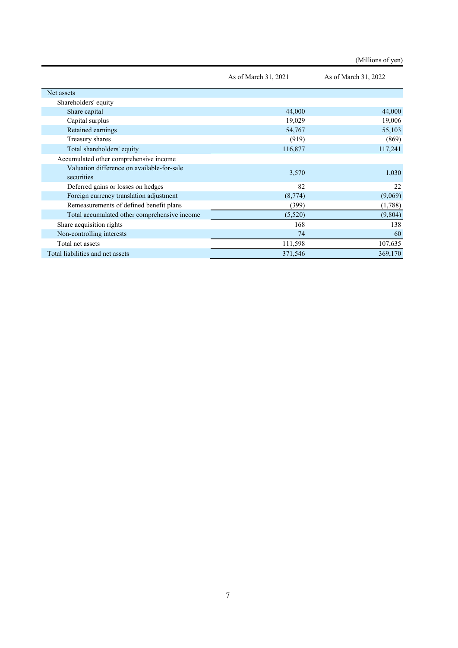|                                                          |                      | (Millions of yen)    |
|----------------------------------------------------------|----------------------|----------------------|
|                                                          | As of March 31, 2021 | As of March 31, 2022 |
| Net assets                                               |                      |                      |
| Shareholders' equity                                     |                      |                      |
| Share capital                                            | 44,000               | 44,000               |
| Capital surplus                                          | 19,029               | 19,006               |
| Retained earnings                                        | 54,767               | 55,103               |
| Treasury shares                                          | (919)                | (869)                |
| Total shareholders' equity                               | 116,877              | 117,241              |
| Accumulated other comprehensive income                   |                      |                      |
| Valuation difference on available-for-sale<br>securities | 3,570                | 1,030                |
| Deferred gains or losses on hedges                       | 82                   | 22                   |
| Foreign currency translation adjustment                  | (8,774)              | (9,069)              |
| Remeasurements of defined benefit plans                  | (399)                | (1,788)              |
| Total accumulated other comprehensive income             | (5,520)              | (9,804)              |
| Share acquisition rights                                 | 168                  | 138                  |
| Non-controlling interests                                | 74                   | 60                   |
| Total net assets                                         | 111,598              | 107,635              |
| Total liabilities and net assets                         | 371,546              | 369,170              |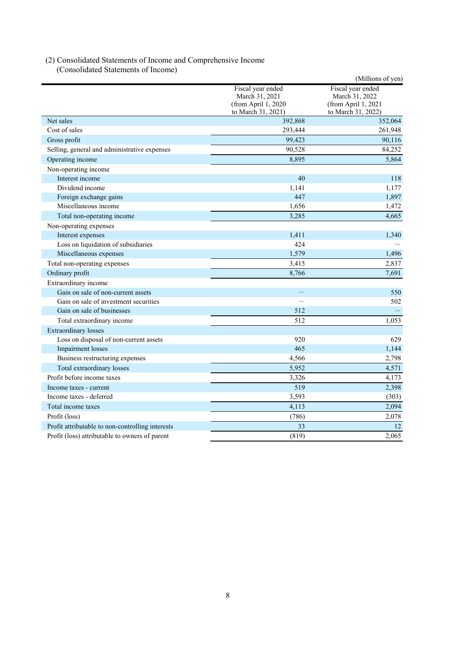## (2) Consolidated Statements of Income and Comprehensive Income (Consolidated Statements of Income)

|                                                  |                                                                                  | (Millions of yen)                                                                |
|--------------------------------------------------|----------------------------------------------------------------------------------|----------------------------------------------------------------------------------|
|                                                  | Fiscal year ended<br>March 31, 2021<br>(from April 1, 2020<br>to March 31, 2021) | Fiscal year ended<br>March 31, 2022<br>(from April 1, 2021<br>to March 31, 2022) |
| Net sales                                        | 392,868                                                                          | 352,064                                                                          |
| Cost of sales                                    | 293,444                                                                          | 261,948                                                                          |
| Gross profit                                     | 99,423                                                                           | 90,116                                                                           |
| Selling, general and administrative expenses     | 90,528                                                                           | 84,252                                                                           |
| Operating income                                 | 8,895                                                                            | 5,864                                                                            |
| Non-operating income                             |                                                                                  |                                                                                  |
| Interest income                                  | 40                                                                               | 118                                                                              |
| Dividend income                                  | 1,141                                                                            | 1,177                                                                            |
| Foreign exchange gains                           | 447                                                                              | 1,897                                                                            |
| Miscellaneous income                             | 1,656                                                                            | 1,472                                                                            |
| Total non-operating income                       | 3,285                                                                            | 4,665                                                                            |
| Non-operating expenses                           |                                                                                  |                                                                                  |
| Interest expenses                                | 1,411                                                                            | 1,340                                                                            |
| Loss on liquidation of subsidiaries              | 424                                                                              |                                                                                  |
| Miscellaneous expenses                           | 1,579                                                                            | 1,496                                                                            |
| Total non-operating expenses                     | 3,415                                                                            | 2,837                                                                            |
| Ordinary profit                                  | 8,766                                                                            | 7,691                                                                            |
| Extraordinary income                             |                                                                                  |                                                                                  |
| Gain on sale of non-current assets               | $\overline{\phantom{a}}$                                                         | 550                                                                              |
| Gain on sale of investment securities            |                                                                                  | 502                                                                              |
| Gain on sale of businesses                       | 512                                                                              |                                                                                  |
| Total extraordinary income                       | 512                                                                              | 1,053                                                                            |
| <b>Extraordinary losses</b>                      |                                                                                  |                                                                                  |
| Loss on disposal of non-current assets           | 920                                                                              | 629                                                                              |
| <b>Impairment</b> losses                         | 465                                                                              | 1,144                                                                            |
| Business restructuring expenses                  | 4,566                                                                            | 2,798                                                                            |
| Total extraordinary losses                       | 5,952                                                                            | 4,571                                                                            |
| Profit before income taxes                       | 3,326                                                                            | 4,173                                                                            |
| Income taxes - current                           | 519                                                                              | 2,398                                                                            |
| Income taxes - deferred                          | 3,593                                                                            | (303)                                                                            |
| Total income taxes                               | 4,113                                                                            | 2,094                                                                            |
| Profit (loss)                                    | (786)                                                                            | 2,078                                                                            |
| Profit attributable to non-controlling interests | 33                                                                               | 12                                                                               |
| Profit (loss) attributable to owners of parent   | (819)                                                                            | 2,065                                                                            |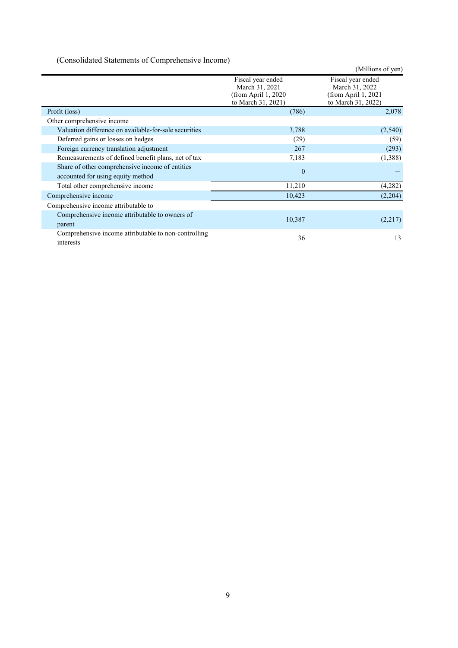(Consolidated Statements of Comprehensive Income)

|                                                                                      |                                                                                   | (Millions of yen)                                                                 |
|--------------------------------------------------------------------------------------|-----------------------------------------------------------------------------------|-----------------------------------------------------------------------------------|
|                                                                                      | Fiscal year ended<br>March 31, 2021<br>(from April $1,2020$<br>to March 31, 2021) | Fiscal year ended<br>March 31, 2022<br>(from April $1,2021$<br>to March 31, 2022) |
| Profit (loss)                                                                        | (786)                                                                             | 2,078                                                                             |
| Other comprehensive income                                                           |                                                                                   |                                                                                   |
| Valuation difference on available-for-sale securities                                | 3,788                                                                             | (2,540)                                                                           |
| Deferred gains or losses on hedges                                                   | (29)                                                                              | (59)                                                                              |
| Foreign currency translation adjustment                                              | 267                                                                               | (293)                                                                             |
| Remeasurements of defined benefit plans, net of tax                                  | 7,183                                                                             | (1,388)                                                                           |
| Share of other comprehensive income of entities<br>accounted for using equity method | $\mathbf{0}$                                                                      |                                                                                   |
| Total other comprehensive income                                                     | 11,210                                                                            | (4,282)                                                                           |
| Comprehensive income                                                                 | 10,423                                                                            | (2,204)                                                                           |
| Comprehensive income attributable to                                                 |                                                                                   |                                                                                   |
| Comprehensive income attributable to owners of<br>parent                             | 10,387                                                                            | (2,217)                                                                           |
| Comprehensive income attributable to non-controlling<br>interests                    | 36                                                                                | 13                                                                                |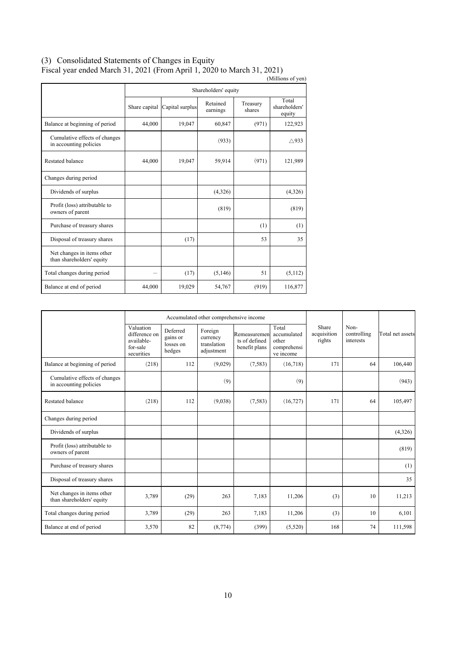## (3) Consolidated Statements of Changes in Equity Fiscal year ended March 31, 2021 (From April 1, 2020 to March 31, 2021)

| T iscar year ended march 91, 2021 (110m/April 1, 2020 to march 91, 2021)<br>(Millions of yen) |               |                 |                      |                    |                                  |  |  |
|-----------------------------------------------------------------------------------------------|---------------|-----------------|----------------------|--------------------|----------------------------------|--|--|
|                                                                                               |               |                 | Shareholders' equity |                    |                                  |  |  |
|                                                                                               | Share capital | Capital surplus | Retained<br>earnings | Treasury<br>shares | Total<br>shareholders'<br>equity |  |  |
| Balance at beginning of period                                                                | 44,000        | 19,047          | 60,847               | (971)              | 122,923                          |  |  |
| Cumulative effects of changes<br>in accounting policies                                       |               |                 | (933)                |                    | $\triangle$ 933                  |  |  |
| Restated balance                                                                              | 44,000        | 19,047          | 59,914               | (971)              | 121,989                          |  |  |
| Changes during period                                                                         |               |                 |                      |                    |                                  |  |  |
| Dividends of surplus                                                                          |               |                 | (4,326)              |                    | (4,326)                          |  |  |
| Profit (loss) attributable to<br>owners of parent                                             |               |                 | (819)                |                    | (819)                            |  |  |
| Purchase of treasury shares                                                                   |               |                 |                      | (1)                | (1)                              |  |  |
| Disposal of treasury shares                                                                   |               | (17)            |                      | 53                 | 35                               |  |  |
| Net changes in items other<br>than shareholders' equity                                       |               |                 |                      |                    |                                  |  |  |
| Total changes during period                                                                   |               | (17)            | (5,146)              | 51                 | (5,112)                          |  |  |
| Balance at end of period                                                                      | 44,000        | 19,029          | 54,767               | (919)              | 116,877                          |  |  |

| Accumulated other comprehensive income                  |                                                                    |                                             |                                                  |                                                |                                                           |                                |                                  |                  |
|---------------------------------------------------------|--------------------------------------------------------------------|---------------------------------------------|--------------------------------------------------|------------------------------------------------|-----------------------------------------------------------|--------------------------------|----------------------------------|------------------|
|                                                         | Valuation<br>difference on<br>available-<br>for-sale<br>securities | Deferred<br>gains or<br>losses on<br>hedges | Foreign<br>currency<br>translation<br>adjustment | Remeasuremen<br>ts of defined<br>benefit plans | Total<br>accumulated<br>other<br>comprehensi<br>ve income | Share<br>acquisition<br>rights | Non-<br>controlling<br>interests | Total net assets |
| Balance at beginning of period                          | (218)                                                              | 112                                         | (9,029)                                          | (7, 583)                                       | (16,718)                                                  | 171                            | 64                               | 106,440          |
| Cumulative effects of changes<br>in accounting policies |                                                                    |                                             | (9)                                              |                                                | (9)                                                       |                                |                                  | (943)            |
| <b>Restated balance</b>                                 | (218)                                                              | 112                                         | (9,038)                                          | (7,583)                                        | (16, 727)                                                 | 171                            | 64                               | 105,497          |
| Changes during period                                   |                                                                    |                                             |                                                  |                                                |                                                           |                                |                                  |                  |
| Dividends of surplus                                    |                                                                    |                                             |                                                  |                                                |                                                           |                                |                                  | (4,326)          |
| Profit (loss) attributable to<br>owners of parent       |                                                                    |                                             |                                                  |                                                |                                                           |                                |                                  | (819)            |
| Purchase of treasury shares                             |                                                                    |                                             |                                                  |                                                |                                                           |                                |                                  | (1)              |
| Disposal of treasury shares                             |                                                                    |                                             |                                                  |                                                |                                                           |                                |                                  | 35               |
| Net changes in items other<br>than shareholders' equity | 3,789                                                              | (29)                                        | 263                                              | 7,183                                          | 11,206                                                    | (3)                            | 10                               | 11,213           |
| Total changes during period                             | 3,789                                                              | (29)                                        | 263                                              | 7,183                                          | 11,206                                                    | (3)                            | 10                               | 6,101            |
| Balance at end of period                                | 3,570                                                              | 82                                          | (8,774)                                          | (399)                                          | (5,520)                                                   | 168                            | 74                               | 111,598          |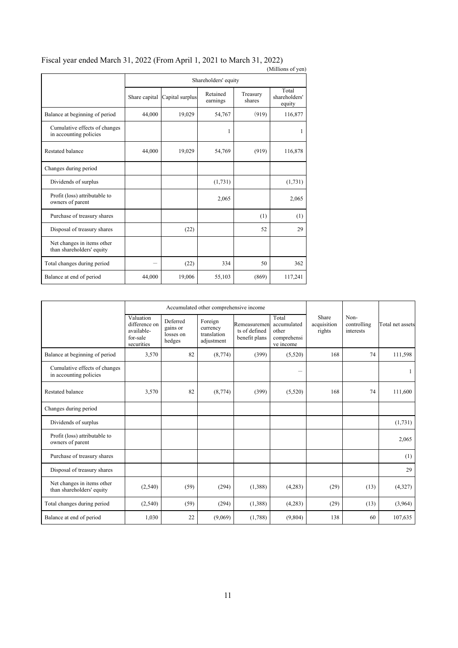|                                                         |               |                 |                      |                    | (Millions of yen)                |
|---------------------------------------------------------|---------------|-----------------|----------------------|--------------------|----------------------------------|
|                                                         |               |                 | Shareholders' equity |                    |                                  |
|                                                         | Share capital | Capital surplus | Retained<br>earnings | Treasury<br>shares | Total<br>shareholders'<br>equity |
| Balance at beginning of period                          | 44,000        | 19,029          | 54,767               | (919)              | 116,877                          |
| Cumulative effects of changes<br>in accounting policies |               |                 | 1                    |                    | 1                                |
| Restated balance                                        | 44,000        | 19,029          | 54,769               | (919)              | 116,878                          |
| Changes during period                                   |               |                 |                      |                    |                                  |
| Dividends of surplus                                    |               |                 | (1,731)              |                    | (1, 731)                         |
| Profit (loss) attributable to<br>owners of parent       |               |                 | 2,065                |                    | 2,065                            |
| Purchase of treasury shares                             |               |                 |                      | (1)                | (1)                              |
| Disposal of treasury shares                             |               | (22)            |                      | 52                 | 29                               |
| Net changes in items other<br>than shareholders' equity |               |                 |                      |                    |                                  |
| Total changes during period                             |               | (22)            | 334                  | 50                 | 362                              |
| Balance at end of period                                | 44,000        | 19,006          | 55,103               | (869)              | 117,241                          |

## Fiscal year ended March 31, 2022 (From April 1, 2021 to March 31, 2022)

|                                                         | Accumulated other comprehensive income                             |                                             |                                                  |                                                |                                                           |                                |                                  |                  |
|---------------------------------------------------------|--------------------------------------------------------------------|---------------------------------------------|--------------------------------------------------|------------------------------------------------|-----------------------------------------------------------|--------------------------------|----------------------------------|------------------|
|                                                         | Valuation<br>difference on<br>available-<br>for-sale<br>securities | Deferred<br>gains or<br>losses on<br>hedges | Foreign<br>currency<br>translation<br>adjustment | Remeasuremen<br>ts of defined<br>benefit plans | Total<br>accumulated<br>other<br>comprehensi<br>ve income | Share<br>acquisition<br>rights | Non-<br>controlling<br>interests | Total net assets |
| Balance at beginning of period                          | 3,570                                                              | 82                                          | (8,774)                                          | (399)                                          | (5,520)                                                   | 168                            | 74                               | 111,598          |
| Cumulative effects of changes<br>in accounting policies |                                                                    |                                             |                                                  |                                                | -                                                         |                                |                                  |                  |
| <b>Restated balance</b>                                 | 3,570                                                              | 82                                          | (8,774)                                          | (399)                                          | (5,520)                                                   | 168                            | 74                               | 111,600          |
| Changes during period                                   |                                                                    |                                             |                                                  |                                                |                                                           |                                |                                  |                  |
| Dividends of surplus                                    |                                                                    |                                             |                                                  |                                                |                                                           |                                |                                  | (1,731)          |
| Profit (loss) attributable to<br>owners of parent       |                                                                    |                                             |                                                  |                                                |                                                           |                                |                                  | 2,065            |
| Purchase of treasury shares                             |                                                                    |                                             |                                                  |                                                |                                                           |                                |                                  | (1)              |
| Disposal of treasury shares                             |                                                                    |                                             |                                                  |                                                |                                                           |                                |                                  | 29               |
| Net changes in items other<br>than shareholders' equity | (2,540)                                                            | (59)                                        | (294)                                            | (1,388)                                        | (4,283)                                                   | (29)                           | (13)                             | (4,327)          |
| Total changes during period                             | (2,540)                                                            | (59)                                        | (294)                                            | (1,388)                                        | (4,283)                                                   | (29)                           | (13)                             | (3,964)          |
| Balance at end of period                                | 1,030                                                              | 22                                          | (9,069)                                          | (1,788)                                        | (9,804)                                                   | 138                            | 60                               | 107,635          |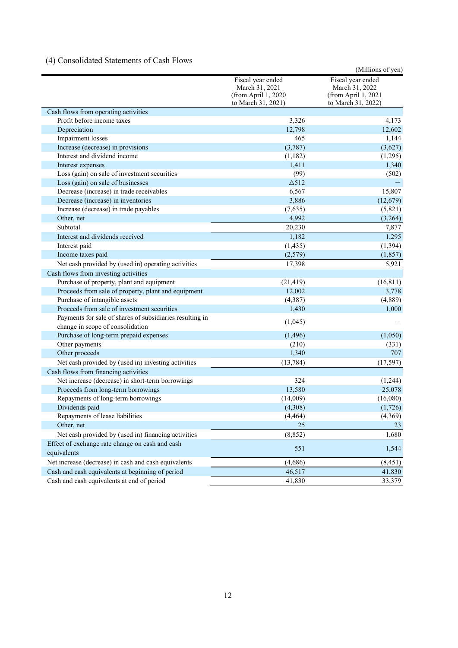# (4) Consolidated Statements of Cash Flows

|                                                                |                                                                                  | (Millions of yen)                                                                |
|----------------------------------------------------------------|----------------------------------------------------------------------------------|----------------------------------------------------------------------------------|
|                                                                | Fiscal year ended<br>March 31, 2021<br>(from April 1, 2020<br>to March 31, 2021) | Fiscal year ended<br>March 31, 2022<br>(from April 1, 2021<br>to March 31, 2022) |
| Cash flows from operating activities                           |                                                                                  |                                                                                  |
| Profit before income taxes                                     | 3,326                                                                            | 4,173                                                                            |
| Depreciation                                                   | 12,798                                                                           | 12,602                                                                           |
| Impairment losses                                              | 465                                                                              | 1,144                                                                            |
| Increase (decrease) in provisions                              | (3,787)                                                                          | (3,627)                                                                          |
| Interest and dividend income                                   | (1,182)                                                                          | (1,295)                                                                          |
| Interest expenses                                              | 1,411                                                                            | 1,340                                                                            |
| Loss (gain) on sale of investment securities                   | (99)                                                                             | (502)                                                                            |
| Loss (gain) on sale of businesses                              | $\triangle$ 512                                                                  |                                                                                  |
| Decrease (increase) in trade receivables                       | 6,567                                                                            | 15,807                                                                           |
| Decrease (increase) in inventories                             | 3,886                                                                            | (12,679)                                                                         |
| Increase (decrease) in trade payables                          | (7,635)                                                                          | (5,821)                                                                          |
| Other, net                                                     | 4,992                                                                            | (3,264)                                                                          |
| Subtotal                                                       | 20,230                                                                           | 7,877                                                                            |
| Interest and dividends received                                | 1,182                                                                            | 1,295                                                                            |
| Interest paid                                                  | (1, 435)                                                                         | (1, 394)                                                                         |
| Income taxes paid                                              | (2,579)                                                                          | (1, 857)                                                                         |
| Net cash provided by (used in) operating activities            | 17,398                                                                           | 5,921                                                                            |
| Cash flows from investing activities                           |                                                                                  |                                                                                  |
| Purchase of property, plant and equipment                      | (21, 419)                                                                        | (16, 811)                                                                        |
| Proceeds from sale of property, plant and equipment            | 12,002                                                                           | 3,778                                                                            |
| Purchase of intangible assets                                  | (4,387)                                                                          | (4,889)                                                                          |
| Proceeds from sale of investment securities                    | 1,430                                                                            | 1,000                                                                            |
| Payments for sale of shares of subsidiaries resulting in       |                                                                                  |                                                                                  |
| change in scope of consolidation                               | (1,045)                                                                          |                                                                                  |
| Purchase of long-term prepaid expenses                         | (1, 496)                                                                         | (1,050)                                                                          |
| Other payments                                                 | (210)                                                                            | (331)                                                                            |
| Other proceeds                                                 | 1,340                                                                            | 707                                                                              |
| Net cash provided by (used in) investing activities            | (13, 784)                                                                        | (17, 597)                                                                        |
| Cash flows from financing activities                           |                                                                                  |                                                                                  |
| Net increase (decrease) in short-term borrowings               | 324                                                                              | (1,244)                                                                          |
| Proceeds from long-term borrowings                             | 13,580                                                                           | 25,078                                                                           |
| Repayments of long-term borrowings                             | (14,009)                                                                         | (16,080)                                                                         |
| Dividends paid                                                 | (4,308)                                                                          | (1,726)                                                                          |
| Repayments of lease liabilities                                | (4, 464)                                                                         | (4,369)                                                                          |
| Other, net                                                     | 25                                                                               | 23                                                                               |
|                                                                |                                                                                  | 1,680                                                                            |
| Net cash provided by (used in) financing activities            | (8, 852)                                                                         |                                                                                  |
| Effect of exchange rate change on cash and cash<br>equivalents | 551                                                                              | 1,544                                                                            |
| Net increase (decrease) in cash and cash equivalents           | (4,686)                                                                          | (8, 451)                                                                         |
| Cash and cash equivalents at beginning of period               | 46,517                                                                           | 41,830                                                                           |
| Cash and cash equivalents at end of period                     | 41,830                                                                           | 33,379                                                                           |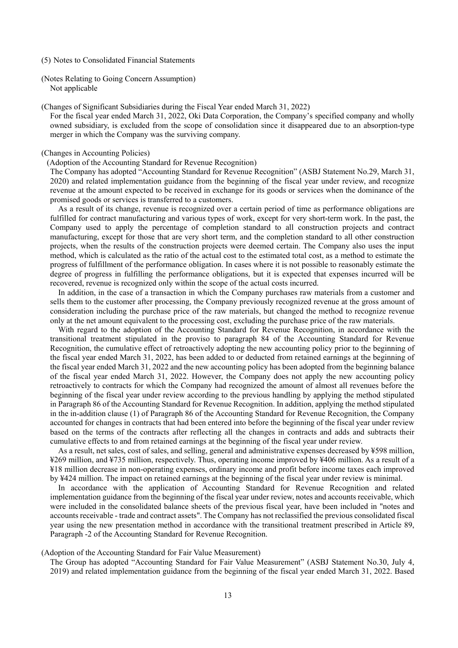- (5) Notes to Consolidated Financial Statements
- (Notes Relating to Going Concern Assumption) Not applicable

(Changes of Significant Subsidiaries during the Fiscal Year ended March 31, 2022)

For the fiscal year ended March 31, 2022, Oki Data Corporation, the Company's specified company and wholly owned subsidiary, is excluded from the scope of consolidation since it disappeared due to an absorption-type merger in which the Company was the surviving company.

#### (Changes in Accounting Policies)

#### (Adoption of the Accounting Standard for Revenue Recognition)

The Company has adopted "Accounting Standard for Revenue Recognition" (ASBJ Statement No.29, March 31, 2020) and related implementation guidance from the beginning of the fiscal year under review, and recognize revenue at the amount expected to be received in exchange for its goods or services when the dominance of the promised goods or services is transferred to a customers.

As a result of its change, revenue is recognized over a certain period of time as performance obligations are fulfilled for contract manufacturing and various types of work, except for very short-term work. In the past, the Company used to apply the percentage of completion standard to all construction projects and contract manufacturing, except for those that are very short term, and the completion standard to all other construction projects, when the results of the construction projects were deemed certain. The Company also uses the input method, which is calculated as the ratio of the actual cost to the estimated total cost, as a method to estimate the progress of fulfillment of the performance obligation. In cases where it is not possible to reasonably estimate the degree of progress in fulfilling the performance obligations, but it is expected that expenses incurred will be recovered, revenue is recognized only within the scope of the actual costs incurred.

In addition, in the case of a transaction in which the Company purchases raw materials from a customer and sells them to the customer after processing, the Company previously recognized revenue at the gross amount of consideration including the purchase price of the raw materials, but changed the method to recognize revenue only at the net amount equivalent to the processing cost, excluding the purchase price of the raw materials.

With regard to the adoption of the Accounting Standard for Revenue Recognition, in accordance with the transitional treatment stipulated in the proviso to paragraph 84 of the Accounting Standard for Revenue Recognition, the cumulative effect of retroactively adopting the new accounting policy prior to the beginning of the fiscal year ended March 31, 2022, has been added to or deducted from retained earnings at the beginning of the fiscal year ended March 31, 2022 and the new accounting policy has been adopted from the beginning balance of the fiscal year ended March 31, 2022. However, the Company does not apply the new accounting policy retroactively to contracts for which the Company had recognized the amount of almost all revenues before the beginning of the fiscal year under review according to the previous handling by applying the method stipulated in Paragraph 86 of the Accounting Standard for Revenue Recognition. In addition, applying the method stipulated in the in-addition clause (1) of Paragraph 86 of the Accounting Standard for Revenue Recognition, the Company accounted for changes in contracts that had been entered into before the beginning of the fiscal year under review based on the terms of the contracts after reflecting all the changes in contracts and adds and subtracts their cumulative effects to and from retained earnings at the beginning of the fiscal year under review.

As a result, net sales, cost of sales, and selling, general and administrative expenses decreased by ¥598 million, ¥269 million, and ¥735 million, respectively. Thus, operating income improved by ¥406 million. As a result of a ¥18 million decrease in non-operating expenses, ordinary income and profit before income taxes each improved by ¥424 million. The impact on retained earnings at the beginning of the fiscal year under review is minimal.

In accordance with the application of Accounting Standard for Revenue Recognition and related implementation guidance from the beginning of the fiscal year under review, notes and accounts receivable, which were included in the consolidated balance sheets of the previous fiscal year, have been included in "notes and accounts receivable - trade and contract assets". The Company has not reclassified the previous consolidated fiscal year using the new presentation method in accordance with the transitional treatment prescribed in Article 89, Paragraph -2 of the Accounting Standard for Revenue Recognition.

#### (Adoption of the Accounting Standard for Fair Value Measurement)

The Group has adopted "Accounting Standard for Fair Value Measurement" (ASBJ Statement No.30, July 4, 2019) and related implementation guidance from the beginning of the fiscal year ended March 31, 2022. Based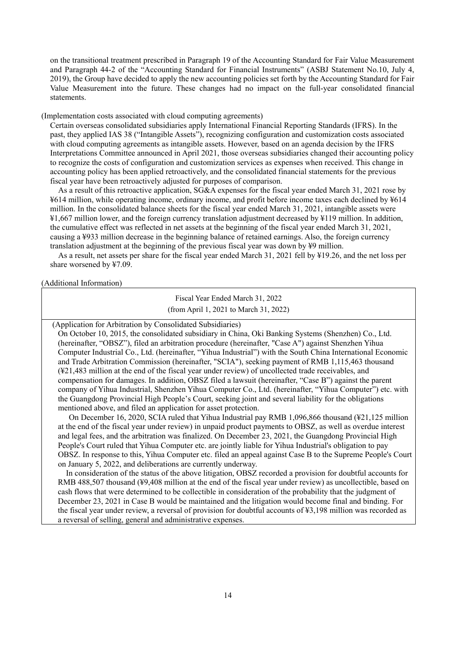on the transitional treatment prescribed in Paragraph 19 of the Accounting Standard for Fair Value Measurement and Paragraph 44-2 of the "Accounting Standard for Financial Instruments" (ASBJ Statement No.10, July 4, 2019), the Group have decided to apply the new accounting policies set forth by the Accounting Standard for Fair Value Measurement into the future. These changes had no impact on the full-year consolidated financial statements.

(Implementation costs associated with cloud computing agreements)

Certain overseas consolidated subsidiaries apply International Financial Reporting Standards (IFRS). In the past, they applied IAS 38 ("Intangible Assets"), recognizing configuration and customization costs associated with cloud computing agreements as intangible assets. However, based on an agenda decision by the IFRS Interpretations Committee announced in April 2021, those overseas subsidiaries changed their accounting policy to recognize the costs of configuration and customization services as expenses when received. This change in accounting policy has been applied retroactively, and the consolidated financial statements for the previous fiscal year have been retroactively adjusted for purposes of comparison.

As a result of this retroactive application, SG&A expenses for the fiscal year ended March 31, 2021 rose by ¥614 million, while operating income, ordinary income, and profit before income taxes each declined by ¥614 million. In the consolidated balance sheets for the fiscal year ended March 31, 2021, intangible assets were ¥1,667 million lower, and the foreign currency translation adjustment decreased by ¥119 million. In addition, the cumulative effect was reflected in net assets at the beginning of the fiscal year ended March 31, 2021, causing a ¥933 million decrease in the beginning balance of retained earnings. Also, the foreign currency translation adjustment at the beginning of the previous fiscal year was down by ¥9 million.

As a result, net assets per share for the fiscal year ended March 31, 2021 fell by ¥19.26, and the net loss per share worsened by ¥7.09.

(Additional Information)

Fiscal Year Ended March 31, 2022 (from April 1, 2021 to March 31, 2022)

(Application for Arbitration by Consolidated Subsidiaries)

On October 10, 2015, the consolidated subsidiary in China, Oki Banking Systems (Shenzhen) Co., Ltd. (hereinafter, "OBSZ"), filed an arbitration procedure (hereinafter, "Case A") against Shenzhen Yihua Computer Industrial Co., Ltd. (hereinafter, "Yihua Industrial") with the South China International Economic and Trade Arbitration Commission (hereinafter, "SCIA"), seeking payment of RMB 1,115,463 thousand (¥21,483 million at the end of the fiscal year under review) of uncollected trade receivables, and compensation for damages. In addition, OBSZ filed a lawsuit (hereinafter, "Case B") against the parent company of Yihua Industrial, Shenzhen Yihua Computer Co., Ltd. (hereinafter, "Yihua Computer") etc. with the Guangdong Provincial High People's Court, seeking joint and several liability for the obligations mentioned above, and filed an application for asset protection.

On December 16, 2020, SCIA ruled that Yihua Industrial pay RMB 1,096,866 thousand (¥21,125 million at the end of the fiscal year under review) in unpaid product payments to OBSZ, as well as overdue interest and legal fees, and the arbitration was finalized. On December 23, 2021, the Guangdong Provincial High People's Court ruled that Yihua Computer etc. are jointly liable for Yihua Industrial's obligation to pay OBSZ. In response to this, Yihua Computer etc. filed an appeal against Case B to the Supreme People's Court on January 5, 2022, and deliberations are currently underway.

In consideration of the status of the above litigation, OBSZ recorded a provision for doubtful accounts for RMB 488,507 thousand (¥9,408 million at the end of the fiscal year under review) as uncollectible, based on cash flows that were determined to be collectible in consideration of the probability that the judgment of December 23, 2021 in Case B would be maintained and the litigation would become final and binding. For the fiscal year under review, a reversal of provision for doubtful accounts of ¥3,198 million was recorded as a reversal of selling, general and administrative expenses.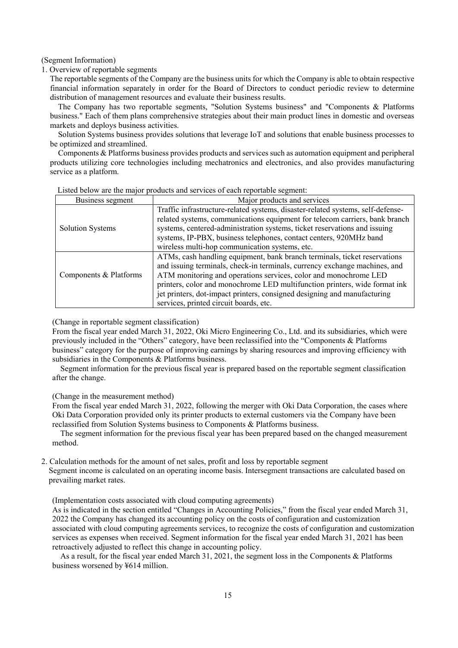#### (Segment Information)

1. Overview of reportable segments

The reportable segments of the Company are the business units for which the Company is able to obtain respective financial information separately in order for the Board of Directors to conduct periodic review to determine distribution of management resources and evaluate their business results.

The Company has two reportable segments, "Solution Systems business" and "Components & Platforms business." Each of them plans comprehensive strategies about their main product lines in domestic and overseas markets and deploys business activities.

Solution Systems business provides solutions that leverage IoT and solutions that enable business processes to be optimized and streamlined.

Components & Platforms business provides products and services such as automation equipment and peripheral products utilizing core technologies including mechatronics and electronics, and also provides manufacturing service as a platform.

| Business segment        | Major products and services                                                                                                                                                                                                                                                                                                                                                                                                     |
|-------------------------|---------------------------------------------------------------------------------------------------------------------------------------------------------------------------------------------------------------------------------------------------------------------------------------------------------------------------------------------------------------------------------------------------------------------------------|
| <b>Solution Systems</b> | Traffic infrastructure-related systems, disaster-related systems, self-defense-<br>related systems, communications equipment for telecom carriers, bank branch<br>systems, centered-administration systems, ticket reservations and issuing<br>systems, IP-PBX, business telephones, contact centers, 920MHz band<br>wireless multi-hop communication systems, etc.                                                             |
| Components & Platforms  | ATMs, cash handling equipment, bank branch terminals, ticket reservations<br>and issuing terminals, check-in terminals, currency exchange machines, and<br>ATM monitoring and operations services, color and monochrome LED<br>printers, color and monochrome LED multifunction printers, wide format ink<br>jet printers, dot-impact printers, consigned designing and manufacturing<br>services, printed circuit boards, etc. |

Listed below are the major products and services of each reportable segment:

(Change in reportable segment classification)

From the fiscal year ended March 31, 2022, Oki Micro Engineering Co., Ltd. and its subsidiaries, which were previously included in the "Others" category, have been reclassified into the "Components & Platforms business" category for the purpose of improving earnings by sharing resources and improving efficiency with subsidiaries in the Components & Platforms business.

Segment information for the previous fiscal year is prepared based on the reportable segment classification after the change.

(Change in the measurement method)

From the fiscal year ended March 31, 2022, following the merger with Oki Data Corporation, the cases where Oki Data Corporation provided only its printer products to external customers via the Company have been reclassified from Solution Systems business to Components & Platforms business.

The segment information for the previous fiscal year has been prepared based on the changed measurement method.

2. Calculation methods for the amount of net sales, profit and loss by reportable segment Segment income is calculated on an operating income basis. Intersegment transactions are calculated based on prevailing market rates.

(Implementation costs associated with cloud computing agreements)

As is indicated in the section entitled "Changes in Accounting Policies," from the fiscal year ended March 31, 2022 the Company has changed its accounting policy on the costs of configuration and customization associated with cloud computing agreements services, to recognize the costs of configuration and customization services as expenses when received. Segment information for the fiscal year ended March 31, 2021 has been retroactively adjusted to reflect this change in accounting policy.

As a result, for the fiscal year ended March 31, 2021, the segment loss in the Components & Platforms business worsened by ¥614 million.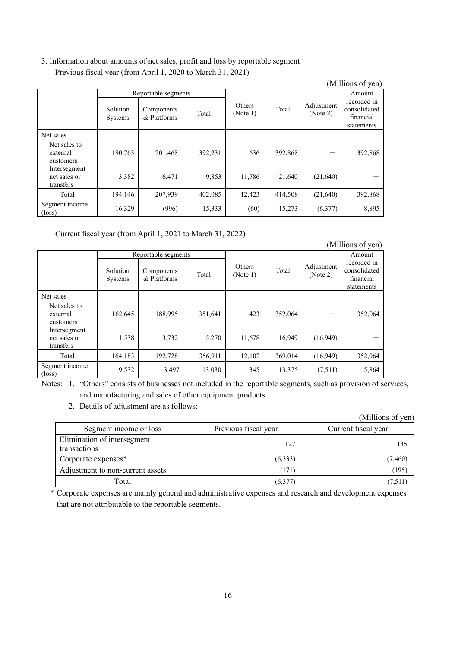## 3. Information about amounts of net sales, profit and loss by reportable segment Previous fiscal year (from April 1, 2020 to March 31, 2021)

|                                           |                            |                           |         |                           |         |                        | (Millions of yen)                                      |
|-------------------------------------------|----------------------------|---------------------------|---------|---------------------------|---------|------------------------|--------------------------------------------------------|
|                                           |                            | Reportable segments       |         |                           |         |                        | Amount                                                 |
|                                           | Solution<br><b>Systems</b> | Components<br>& Platforms | Total   | <b>Others</b><br>(Note 1) | Total   | Adjustment<br>(Note 2) | recorded in<br>consolidated<br>financial<br>statements |
| Net sales                                 |                            |                           |         |                           |         |                        |                                                        |
| Net sales to<br>external<br>customers     | 190,763                    | 201,468                   | 392,231 | 636                       | 392,868 |                        | 392,868                                                |
| Intersegment<br>net sales or<br>transfers | 3,382                      | 6,471                     | 9,853   | 11,786                    | 21,640  | (21,640)               |                                                        |
| Total                                     | 194.146                    | 207,939                   | 402,085 | 12,423                    | 414,508 | (21,640)               | 392,868                                                |
| Segment income<br>$(\text{loss})$         | 16,329                     | (996)                     | 15,333  | (60)                      | 15,273  | (6,377)                | 8,895                                                  |

Current fiscal year (from April 1, 2021 to March 31, 2022)

|                                           |                            |                           |         |                    |         |                        | (Millions of yen)                                      |
|-------------------------------------------|----------------------------|---------------------------|---------|--------------------|---------|------------------------|--------------------------------------------------------|
|                                           |                            | Reportable segments       |         |                    |         | Amount                 |                                                        |
|                                           | Solution<br><b>Systems</b> | Components<br>& Platforms | Total   | Others<br>(Note 1) | Total   | Adjustment<br>(Note 2) | recorded in<br>consolidated<br>financial<br>statements |
| Net sales                                 |                            |                           |         |                    |         |                        |                                                        |
| Net sales to<br>external<br>customers     | 162,645                    | 188,995                   | 351,641 | 423                | 352,064 |                        | 352,064                                                |
| Intersegment<br>net sales or<br>transfers | 1,538                      | 3,732                     | 5,270   | 11,678             | 16,949  | (16,949)               |                                                        |
| Total                                     | 164,183                    | 192,728                   | 356,911 | 12,102             | 369,014 | (16,949)               | 352,064                                                |
| Segment income<br>$(\text{loss})$         | 9,532                      | 3,497                     | 13,030  | 345                | 13,375  | (7,511)                | 5,864                                                  |

Notes: 1. "Others" consists of businesses not included in the reportable segments, such as provision of services, and manufacturing and sales of other equipment products.

2. Details of adjustment are as follows:

|                                             |                      | (Millions of yen)   |
|---------------------------------------------|----------------------|---------------------|
| Segment income or loss                      | Previous fiscal year | Current fiscal year |
| Elimination of intersegment<br>transactions | 127                  | 145                 |
| Corporate expenses*                         | (6,333)              | (7,460)             |
| Adjustment to non-current assets            | (171)                | (195)               |
| Total                                       | (6,377)              | (7,511)             |

\* Corporate expenses are mainly general and administrative expenses and research and development expenses that are not attributable to the reportable segments.